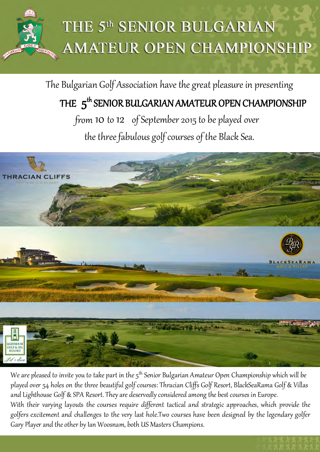The Bulgarian Golf Association have the great pleasure in presenting

## THE  $\,5^{\mathsf{th}}$  SENIOR BULGARIAN AMATEUR OPEN CHAMPIONSHIP

from  $10 \text{ to } 12$  of September 2015 to be played over the three fabulous golf courses of the Black Sea.

We are pleased to invite you to take part in the 5<sup>th</sup> Senior Bulgarian Amateur Open Championship which will be played over 54 holes on the three beautiful golf courses: Thracian Cliffs Golf Resort, BlackSeaRama Golf & Villas and Lighthouse Golf & SPA Resort. They are deservedly considered among the best courses in Europe. With their varying layouts the courses require different tactical and strategic approaches, which provide the golfers excitement and challenges to the very last hole.Two courses have been designed by the legendary golfer Gary Player and the other by Ian Woosnam, both US Masters Champions.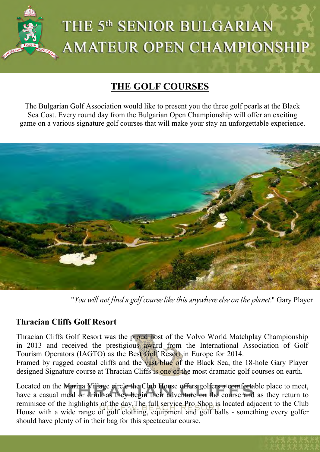

### **THE GOLF COURSES**

The Bulgarian Golf Association would like to present you the three golf pearls at the Black Sea Cost. Every round day from the Bulgarian Open Championship will offer an exciting game on a various signature golf courses that will make your stay an unforgettable experience.



"You will not find a golf course like this anywhere else on the planet." Gary Player

### **Thra[cian Cliffs Golf Resort](mailto:bggolfopen2013@bggolftours.com)**

Thracian Cliffs Golf Resort was the proud host of the Volvo World Matchplay Championship in 2013 and received the prestigious award from the International Association of Golf Tourism Operators (IAGTO) as the Best Golf Resort in Europe for 2014.

Framed by rugged coastal cliffs and the vast blue of the Black Sea, the 18-hole Gary Player designed Signature course at Thracian Cliffs is one of the most dramatic golf courses on earth.

Located on the Marina Village circle the Club House offers golfers a comfortable place to meet, have a casual meal or drink as they begin their adventure on the course and as they return to reminisce of the highlights of the day.The full service Pro Shop is located adjacent to the Club House with a wide range of golf clothing, equipment and golf balls - something every golfer should have plenty of in their bag for this spectacular course.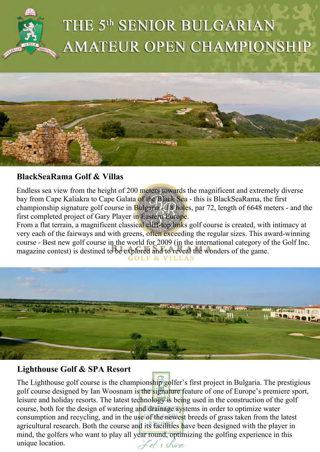



### **BlackSeaRama Golf & Villas**

Endless sea view from the height of 200 meters towards the magnificent and extremely diverse bay from Cape Kaliakra to Cape Galata of the Black Sea - this is BlackSeaRama, the first championship signature golf course in Bulgaria - 18 holes, par 72, length of 6648 meters - and the first completed project of Gary Player in Eastern Europe.

From a flat terrain, a magnificent classical cliff-top links golf course is created, with intimacy at very each of the fairways and with greens, often exceeding the regular sizes. This award-winning course - Best new golf course in the world for 2009 (in the international category of the Golf Inc. magazine contest) is destined to be explored and to reveal the wonders of the game.



### **Lighthouse Golf & SPA Resort**

The Lighthouse golf course is the championship golfer's first project in Bulgaria. The prestigious golf course designed by Ian Woosnam is the signature feature of one of Europe's premiere sport, leisure and holiday resorts. The latest technology is being used in the construction of the golf course, both for the design of watering and drainage systems in order to optimize water consumption and recycling, and in the use of the newest breeds of grass taken from the latest agricultural research. Both the course and its facilities have been designed with the player in mind, the golfers who want to play all year round, optimizing the golfing experience in this unique location.Let's shine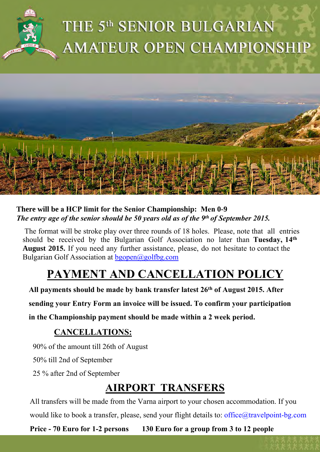



#### **There will be a HCP limit for the Senior Championship: Men 0-9** *The entry age of the senior should be 50 years old as of the 9th of September 2015.*

The format will be stroke play over three rounds of 18 holes. Please, note that all entries should be received by the Bulgarian Golf Association no later than **Tuesday, 14th August 2015.** If you need any further assistance, please, do not hesitate to contact the Bulgarian Golf Association at  $b$ gopen@golfbg.com

## **PAYMENT AND CANCELLATION POLICY**

**All payments should be made by bank transfer latest 26th of August 2015. After** 

**sending your Entry Form an invoice will be issued. To confirm your participation** 

**in the Championship payment should be made within a 2 week period.**

### **CANCELLATIONS:**

90% of the amount till 26th of August

50% till 2nd of September

25 % after 2nd of September

### **AIRPORT TRANSFERS**

All transfers will be made from the Varna airport to your chosen accommodation. If you would like to book a transfer, please, send your flight details to: office@travelpoint-bg.com

**Price - 70 Euro for 1-2 persons 130 Euro for a group from 3 to 12 people**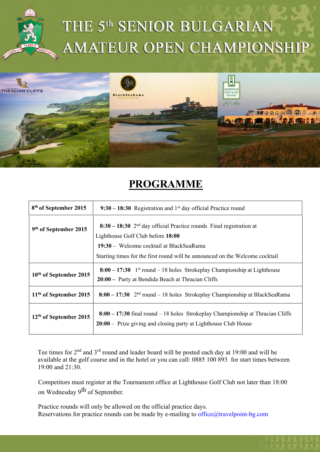



### **PROGRAMME**

| 8 <sup>th</sup> of September 2015  | $9:30 - 18:30$ Registration and 1 <sup>st</sup> day official Practice round                                                                                        |
|------------------------------------|--------------------------------------------------------------------------------------------------------------------------------------------------------------------|
| 9 <sup>th</sup> of September 2015  | $8:30 - 18:30$ 2 <sup>nd</sup> day official Practice rounds Final registration at<br>Lighthouse Golf Club before 18:00<br>19:30 – Welcome cocktail at BlackSeaRama |
|                                    | Starting times for the first round will be announced on the Welcome cocktail                                                                                       |
| 10 <sup>th</sup> of September 2015 | $8:00 - 17:30$ 1 <sup>st</sup> round – 18 holes Strokeplay Championship at Lighthouse<br>20:00 – Party at Bendida Beach at Thracian Cliffs                         |
| $11th$ of September 2015           | $8:00 - 17:30$ 2 <sup>nd</sup> round – 18 holes Strokeplay Championship at BlackSeaRama                                                                            |
| 12 <sup>th</sup> of September 2015 | 8:00 – 17:30 final round – 18 holes Strokeplay Championship at Thracian Cliffs<br>20:00 – Prize giving and closing party at Lighthouse Club House                  |

Tee times for 2<sup>nd</sup> and 3<sup>rd</sup> round and leader board will be posted each day at 19:00 and will be available at the golf course and in the hotel or you can call: 0885 100 893 for start times between 19:00 and 21:30.

Competitors must register at the Tournament office at Lighthouse Golf Club not later than 18:00 on Wednesday 9<sup>th</sup> of September.

Practice r[ounds will only be allowed o](mailto:info@pravets-golfclub.com)n the official practice days. Reservations for practice rounds can be made by e-mailing to office@travelpoint-bg.com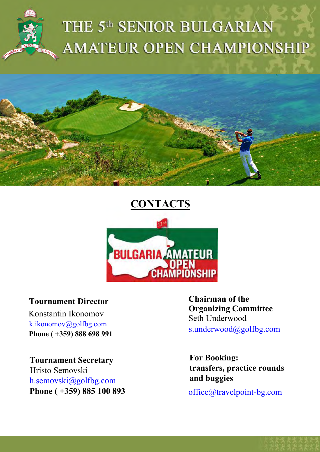



### **CONTACTS**



#### **Tournament Director**

Konstantin Ikonomov k.ikonomov@golfbg.com **Ph[one \( +359\) 888 698](mailto:s.underwood@golfbg.com) 991** 

**T[ournament Secretary](mailto:info@pravets-golfclub.com)** Hristo Semovski h.semovski@golfbg.com **P[hone \( +359\) 885 100 893](mailto:bggolfopen2013@bggolftours.com)** **Chairman of the Organizing Committee**  Seth Underwood s.underwood@golfbg.com

**For Booking: transfers, practice rounds and buggies** 

office@travelpoint-bg.com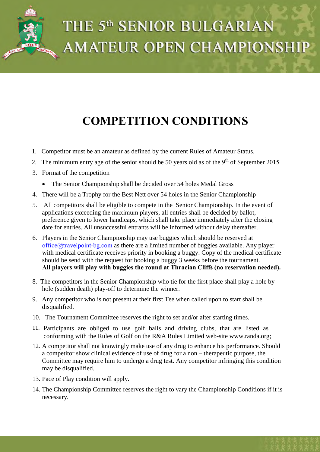

## **COMPETITION CONDITIONS**

- 1. Competitor must be an amateur as defined by the current Rules of Amateur Status.
- 2. The minimum entry age of the senior should be 50 years old as of the  $9<sup>th</sup>$  of September 2015
- 3. Format of the competition
	- The Senior Championship shall be decided over 54 holes Medal Gross
- 4. There will be a Trophy for the Best Nett over 54 holes in the Senior Championship
- 5. All competitors shall be eligible to compete in the Senior Championship. In the event of applications exceeding the maximum players, all entries shall be decided by ballot, preference given to lower handicaps, which shall take place immediately after the closing date for entries. All unsuccessful entrants will be informed without delay thereafter.
- 6. Players in the Senior Championship may use buggies which should be reserved at office@travelpoint-bg.com as there are a limited number of buggies available. Any player with medical certificate receives priority in booking a buggy. Copy of the medical certificate should be send with the request for booking a buggy 3 weeks before the tournament. **All players will play with buggies the round at Thracian Cliffs (no reservation needed).**
- 8. The competitors in the Senior Championship who tie for the first place shall play a hole by hole (sudden death) play-off to determine the winner.
- 9. Any competitor who is not present at their first Tee when called upon to start shall be disqualified.
- 10. The Tournament Committee reserves the right to set and/or alter starting times.
- 11. Participants are obliged to use golf balls and driving clubs, that are listed as conforming with the Rules of Golf on the R&A Rules Limited web-site www.randa.org;
- 12. A competitor shall not knowingly make use of any drug to enhance his performance. Should a competitor show clinical evidence of use of drug for a non – therapeutic purpose, the Committee may require him to undergo a drug test. Any competitor infringing this condition may be disqualified.
- 13. Pace of Play condition will apply.
- 14. The Championship Committee reserves the right to vary the Championship Conditions if it is necessary.